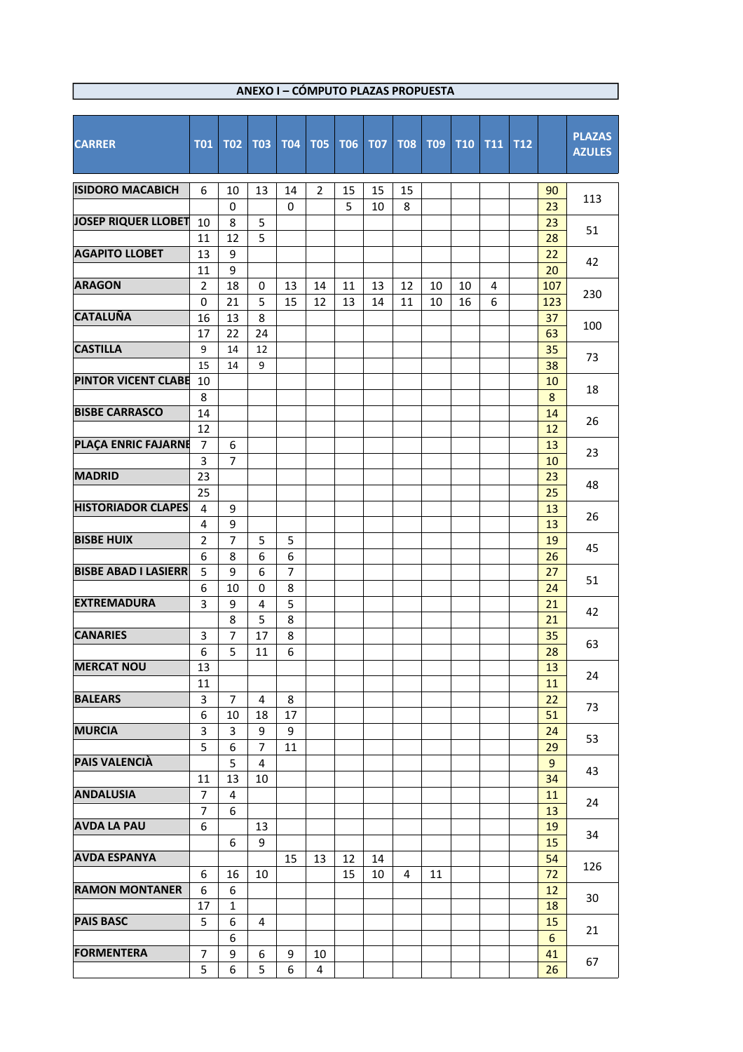| <b>CARRER</b>               | <b>T01</b>     | <b>T02</b>     | <b>T03</b>     | <b>T04</b> | <b>T05</b>     | <b>T06</b> | <b>T07</b> | <b>T08</b> | <b>T09</b> | <b>T10</b> | <b>T11</b> | <b>T12</b> |           | <b>PLAZAS</b><br><b>AZULES</b> |
|-----------------------------|----------------|----------------|----------------|------------|----------------|------------|------------|------------|------------|------------|------------|------------|-----------|--------------------------------|
| <b>ISIDORO MACABICH</b>     | 6              | 10             | 13             | 14         | $\overline{2}$ | 15         | 15         | 15         |            |            |            |            | 90        |                                |
|                             |                | $\mathbf 0$    |                | 0          |                | 5          | 10         | 8          |            |            |            |            | 23        | 113                            |
| <b>JOSEP RIQUER LLOBET</b>  | 10             | 8              | 5              |            |                |            |            |            |            |            |            |            | 23        | 51                             |
|                             | 11             | 12             | 5              |            |                |            |            |            |            |            |            |            | 28        |                                |
| <b>AGAPITO LLOBET</b>       | 13             | 9              |                |            |                |            |            |            |            |            |            |            | 22        | 42                             |
|                             | 11             | 9              |                |            |                |            |            |            |            |            |            |            | 20        |                                |
| <b>ARAGON</b>               | $\overline{2}$ | 18             | 0              | 13         | 14             | 11         | 13         | 12         | 10         | 10         | 4          |            | 107       | 230                            |
| <b>CATALUÑA</b>             | 0<br>16        | 21<br>13       | 5<br>8         | 15         | 12             | 13         | 14         | 11         | 10         | 16         | 6          |            | 123<br>37 |                                |
|                             | 17             | 22             | 24             |            |                |            |            |            |            |            |            |            | 63        | 100                            |
| <b>CASTILLA</b>             | 9              | 14             | 12             |            |                |            |            |            |            |            |            |            | 35        |                                |
|                             | 15             | 14             | 9              |            |                |            |            |            |            |            |            |            | 38        | 73                             |
| <b>PINTOR VICENT CLABE</b>  | 10             |                |                |            |                |            |            |            |            |            |            |            | 10        |                                |
|                             | 8              |                |                |            |                |            |            |            |            |            |            |            | 8         | 18                             |
| <b>BISBE CARRASCO</b>       | 14             |                |                |            |                |            |            |            |            |            |            |            | 14        |                                |
|                             | 12             |                |                |            |                |            |            |            |            |            |            |            | 12        | 26                             |
| PLAÇA ENRIC FAJARNE         | $\overline{7}$ | 6              |                |            |                |            |            |            |            |            |            |            | 13        |                                |
|                             | 3              | 7              |                |            |                |            |            |            |            |            |            |            | 10        | 23                             |
| <b>MADRID</b>               | 23             |                |                |            |                |            |            |            |            |            |            |            | 23        | 48                             |
|                             | 25             |                |                |            |                |            |            |            |            |            |            |            | 25        |                                |
| <b>HISTORIADOR CLAPES</b>   | 4              | 9              |                |            |                |            |            |            |            |            |            |            | 13        | 26                             |
|                             | 4              | 9              |                |            |                |            |            |            |            |            |            |            | 13        |                                |
| <b>BISBE HUIX</b>           | $\overline{2}$ | $\overline{7}$ | 5              | 5          |                |            |            |            |            |            |            |            | 19        | 45                             |
|                             | 6              | 8              | 6              | 6          |                |            |            |            |            |            |            |            | 26        | 51                             |
| <b>BISBE ABAD I LASIERR</b> | 5              | 9              | 6              | 7          |                |            |            |            |            |            |            |            | 27        |                                |
|                             | 6              | 10             | 0              | 8          |                |            |            |            |            |            |            |            | 24        |                                |
| <b>EXTREMADURA</b>          | 3              | 9              | $\overline{4}$ | 5          |                |            |            |            |            |            |            |            | 21        | 42                             |
|                             |                | 8              | 5              | 8          |                |            |            |            |            |            |            |            | 21        |                                |
| <b>CANARIES</b>             | 3              | 7              | 17             | 8          |                |            |            |            |            |            |            |            | 35        | 63                             |
| <b>MERCAT NOU</b>           | 6              | 5              | 11             | 6          |                |            |            |            |            |            |            |            | 28        |                                |
|                             | 13<br>11       |                |                |            |                |            |            |            |            |            |            |            | 13<br>11  | 24                             |
| <b>BALEARS</b>              | 3              | $\overline{7}$ | 4              | 8          |                |            |            |            |            |            |            |            | 22        |                                |
|                             | 6              | 10             | 18             | 17         |                |            |            |            |            |            |            |            | 51        | 73                             |
| <b>MURCIA</b>               | 3              | 3              | 9              | 9          |                |            |            |            |            |            |            |            | 24        |                                |
|                             | 5              | 6              | 7              | 11         |                |            |            |            |            |            |            |            | 29        | 53                             |
| <b>PAIS VALENCIÀ</b>        |                | 5              | 4              |            |                |            |            |            |            |            |            |            | 9         |                                |
|                             | 11             | 13             | 10             |            |                |            |            |            |            |            |            |            | 34        | 43                             |
| <b>ANDALUSIA</b>            | 7              | 4              |                |            |                |            |            |            |            |            |            |            | 11        |                                |
|                             | 7              | 6              |                |            |                |            |            |            |            |            |            |            | 13        | 24                             |
| <b>AVDA LA PAU</b>          | 6              |                | 13             |            |                |            |            |            |            |            |            |            | 19        | 34                             |
|                             |                | 6              | 9              |            |                |            |            |            |            |            |            |            | 15        |                                |
| <b>AVDA ESPANYA</b>         |                |                |                | 15         | 13             | 12         | 14         |            |            |            |            |            | 54        | 126                            |
|                             | 6              | 16             | 10             |            |                | 15         | 10         | 4          | 11         |            |            |            | 72        |                                |
| <b>RAMON MONTANER</b>       | 6              | 6              |                |            |                |            |            |            |            |            |            |            | 12        | 30                             |
|                             | 17             | $\mathbf{1}$   |                |            |                |            |            |            |            |            |            |            | 18        |                                |
| <b>PAIS BASC</b>            | 5              | 6              | 4              |            |                |            |            |            |            |            |            |            | 15        | 21                             |
| <b>FORMENTERA</b>           | 7              | 6              |                |            |                |            |            |            |            |            |            |            | 6         |                                |
|                             | 5              | 9<br>6         | 6<br>5         | 9<br>6     | 10<br>4        |            |            |            |            |            |            |            | 41<br>26  | 67                             |
|                             |                |                |                |            |                |            |            |            |            |            |            |            |           |                                |

## **ANEXO I – CÓMPUTO PLAZAS PROPUESTA**

 $\Box$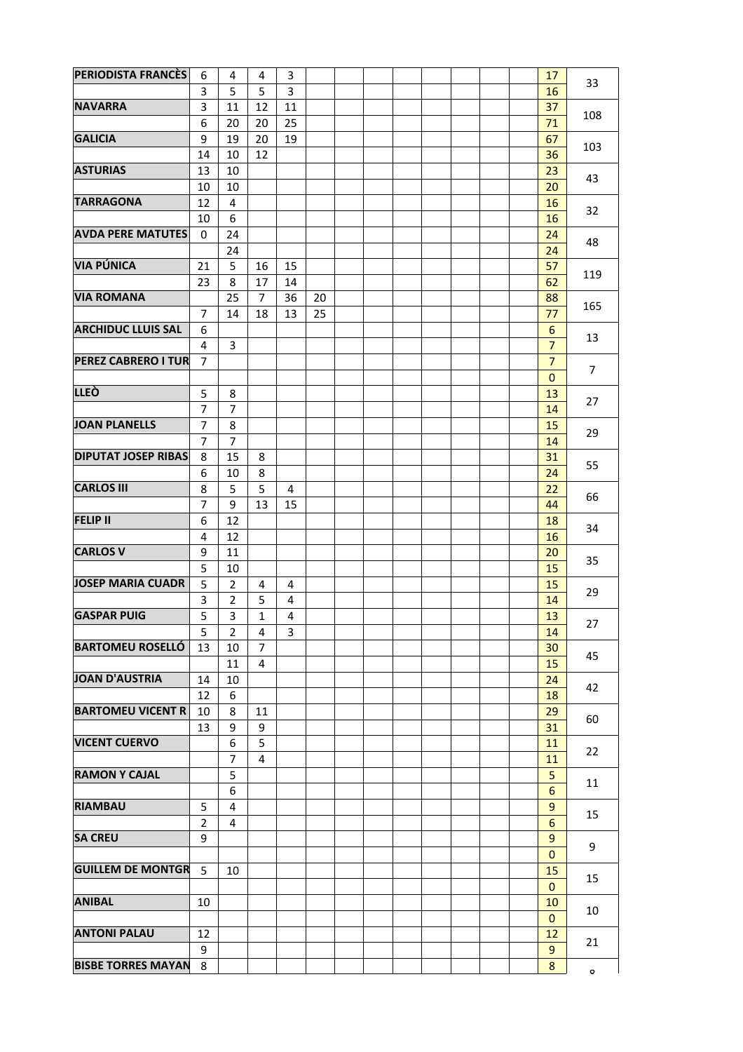| <b>PERIODISTA FRANCÈS</b>  | 6              | 4              | 4              | 3  |    |  |  |  | 17                 |                |
|----------------------------|----------------|----------------|----------------|----|----|--|--|--|--------------------|----------------|
|                            | 3              | 5              | 5              | 3  |    |  |  |  | 16                 | 33             |
| <b>NAVARRA</b>             | 3              | 11             | 12             | 11 |    |  |  |  | 37                 |                |
|                            | 6              | 20             | 20             | 25 |    |  |  |  | 71                 | 108            |
| <b>GALICIA</b>             | 9              | 19             | 20             | 19 |    |  |  |  |                    |                |
|                            |                |                |                |    |    |  |  |  | 67                 | 103            |
|                            | 14             | 10             | 12             |    |    |  |  |  | 36                 |                |
| <b>ASTURIAS</b>            | 13             | 10             |                |    |    |  |  |  | 23                 | 43             |
|                            | 10             | 10             |                |    |    |  |  |  | 20                 |                |
| <b>TARRAGONA</b>           | 12             | 4              |                |    |    |  |  |  | 16                 | 32             |
|                            | 10             | 6              |                |    |    |  |  |  | 16                 |                |
| <b>AVDA PERE MATUTES</b>   | 0              | 24             |                |    |    |  |  |  | 24                 | 48             |
|                            |                | 24             |                |    |    |  |  |  | 24                 |                |
| <b>VIA PÚNICA</b>          | 21             | 5              | 16             | 15 |    |  |  |  | 57                 |                |
|                            | 23             | 8              | 17             | 14 |    |  |  |  | 62                 | 119            |
| <b>VIA ROMANA</b>          |                | 25             | 7              | 36 | 20 |  |  |  | 88                 |                |
|                            | $\overline{7}$ | 14             | 18             | 13 | 25 |  |  |  | 77                 | 165            |
| <b>ARCHIDUC LLUIS SAL</b>  | 6              |                |                |    |    |  |  |  | 6                  |                |
|                            | 4              | 3              |                |    |    |  |  |  | $\overline{7}$     | 13             |
| <b>PEREZ CABRERO I TUR</b> | $\overline{7}$ |                |                |    |    |  |  |  | $\overline{7}$     |                |
|                            |                |                |                |    |    |  |  |  | $\mathbf{0}$       | $\overline{7}$ |
| <b>LLEÒ</b>                |                |                |                |    |    |  |  |  |                    |                |
|                            | 5              | 8              |                |    |    |  |  |  | 13                 | 27             |
|                            | $\overline{7}$ | $\overline{7}$ |                |    |    |  |  |  | 14                 |                |
| <b>JOAN PLANELLS</b>       | $\overline{7}$ | 8              |                |    |    |  |  |  | 15                 | 29             |
|                            | 7              | 7              |                |    |    |  |  |  | 14                 |                |
| <b>DIPUTAT JOSEP RIBAS</b> | 8              | 15             | 8              |    |    |  |  |  | 31                 | 55             |
|                            | 6              | 10             | 8              |    |    |  |  |  | 24                 |                |
| <b>CARLOS III</b>          | 8              | 5              | 5              | 4  |    |  |  |  | 22                 | 66             |
|                            | $\overline{7}$ | 9              | 13             | 15 |    |  |  |  | 44                 |                |
| <b>FELIP II</b>            | 6              | 12             |                |    |    |  |  |  | 18                 |                |
|                            | 4              | 12             |                |    |    |  |  |  | 16                 | 34             |
| <b>CARLOS V</b>            | 9              | 11             |                |    |    |  |  |  | 20                 |                |
|                            | 5              | 10             |                |    |    |  |  |  | 15                 | 35             |
| <b>JOSEP MARIA CUADR</b>   | 5              | $\overline{2}$ | 4              | 4  |    |  |  |  | 15                 |                |
|                            | 3              | 2              | 5              | 4  |    |  |  |  | 14                 | 29             |
| <b>GASPAR PUIG</b>         | 5              | 3              | $\mathbf{1}$   | 4  |    |  |  |  | 13                 |                |
|                            | 5              | $\overline{2}$ | 4              | 3  |    |  |  |  | 14                 | 27             |
| <b>BARTOMEU ROSELLÓ</b>    |                |                | $\overline{7}$ |    |    |  |  |  |                    |                |
|                            | 13             | 10             |                |    |    |  |  |  | 30                 | 45             |
|                            |                | 11             | $\overline{4}$ |    |    |  |  |  | 15                 |                |
| JOAN D'AUSTRIA             | 14             | 10             |                |    |    |  |  |  | 24                 | 42             |
|                            | 12             | 6              |                |    |    |  |  |  | 18                 |                |
| <b>BARTOMEU VICENT R</b>   | 10             | 8              | 11             |    |    |  |  |  | 29                 | 60             |
|                            | 13             | 9              | 9              |    |    |  |  |  | 31                 |                |
| <b>VICENT CUERVO</b>       |                | 6              | 5              |    |    |  |  |  | 11                 | 22             |
|                            |                | 7              | 4              |    |    |  |  |  | 11                 |                |
| <b>RAMON Y CAJAL</b>       |                | 5              |                |    |    |  |  |  | 5                  |                |
|                            |                | 6              |                |    |    |  |  |  | 6                  | 11             |
| <b>RIAMBAU</b>             | 5              | 4              |                |    |    |  |  |  | 9                  |                |
|                            | $\overline{2}$ | 4              |                |    |    |  |  |  | 6                  | 15             |
| <b>SA CREU</b>             | 9              |                |                |    |    |  |  |  | 9                  |                |
|                            |                |                |                |    |    |  |  |  | $\mathbf 0$        | 9              |
| <b>GUILLEM DE MONTGR</b>   | 5              | 10             |                |    |    |  |  |  | 15                 |                |
|                            |                |                |                |    |    |  |  |  | $\mathbf{0}$       | 15             |
| <b>ANIBAL</b>              | 10             |                |                |    |    |  |  |  |                    |                |
|                            |                |                |                |    |    |  |  |  | 10<br>$\mathbf{0}$ | 10             |
| <b>ANTONI PALAU</b>        |                |                |                |    |    |  |  |  |                    |                |
|                            | 12             |                |                |    |    |  |  |  | 12                 | 21             |
|                            | 9              |                |                |    |    |  |  |  | 9                  |                |
| <b>BISBE TORRES MAYAN</b>  | 8              |                |                |    |    |  |  |  | 8                  | $\mathbf{o}$   |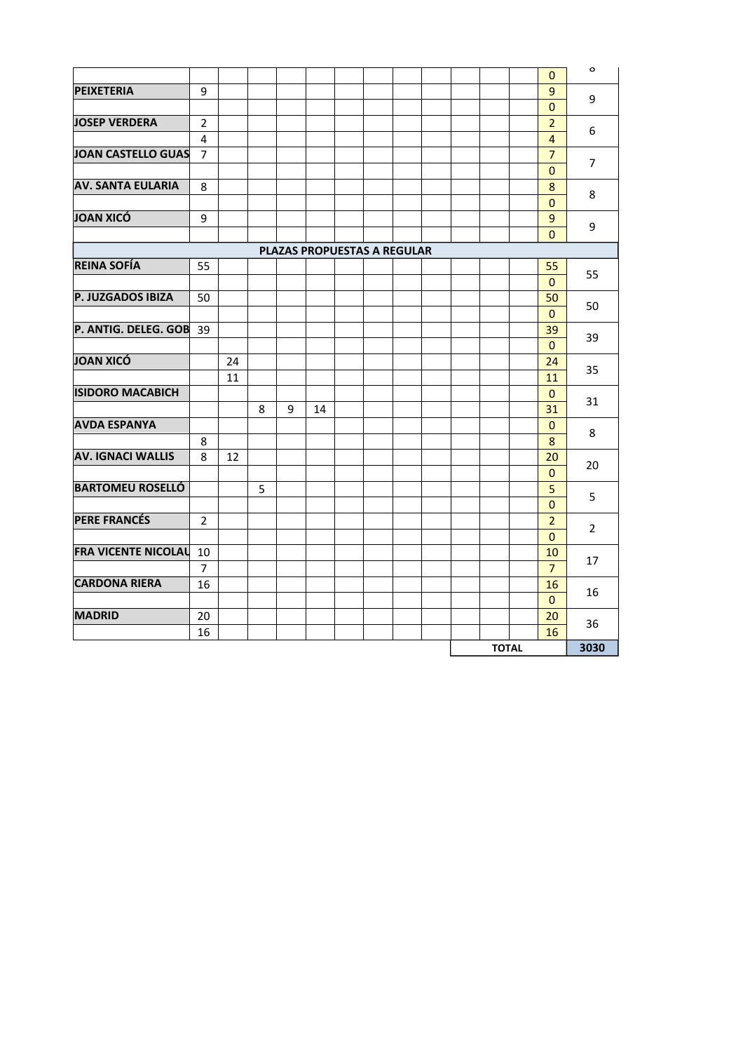|                            |                |    |   |   |                             |  |  |              | $\mathbf{0}$       | $\mathsf{o}$   |
|----------------------------|----------------|----|---|---|-----------------------------|--|--|--------------|--------------------|----------------|
| <b>PEIXETERIA</b>          | 9              |    |   |   |                             |  |  |              | 9                  |                |
|                            |                |    |   |   |                             |  |  |              | $\pmb{0}$          | 9              |
| <b>JOSEP VERDERA</b>       | $\overline{2}$ |    |   |   |                             |  |  |              | $\overline{2}$     | 6              |
|                            | 4              |    |   |   |                             |  |  |              | $\overline{4}$     |                |
| <b>JOAN CASTELLO GUAS</b>  | $\overline{7}$ |    |   |   |                             |  |  |              | $\overline{7}$     | $\overline{7}$ |
|                            |                |    |   |   |                             |  |  |              | $\mathbf{0}$       |                |
| <b>AV. SANTA EULARIA</b>   | 8              |    |   |   |                             |  |  |              | 8                  | 8              |
|                            |                |    |   |   |                             |  |  |              | $\mathbf{0}$       |                |
| JOAN XICÓ                  | 9              |    |   |   |                             |  |  |              | 9                  | 9              |
|                            |                |    |   |   |                             |  |  |              | $\mathbf{0}$       |                |
| <b>REINA SOFÍA</b>         |                |    |   |   | PLAZAS PROPUESTAS A REGULAR |  |  |              |                    |                |
|                            | 55             |    |   |   |                             |  |  |              | 55                 | 55             |
| P. JUZGADOS IBIZA          | 50             |    |   |   |                             |  |  |              | $\mathbf{0}$<br>50 |                |
|                            |                |    |   |   |                             |  |  |              | $\Omega$           | 50             |
| P. ANTIG. DELEG. GOB       | 39             |    |   |   |                             |  |  |              | 39                 |                |
|                            |                |    |   |   |                             |  |  |              | $\Omega$           | 39             |
| JOAN XICÓ                  |                | 24 |   |   |                             |  |  |              | 24                 |                |
|                            |                | 11 |   |   |                             |  |  |              | 11                 | 35             |
| <b>ISIDORO MACABICH</b>    |                |    |   |   |                             |  |  |              | $\mathbf{0}$       |                |
|                            |                |    | 8 | 9 | 14                          |  |  |              | 31                 | 31             |
| <b>AVDA ESPANYA</b>        |                |    |   |   |                             |  |  |              | $\mathbf{0}$       |                |
|                            | 8              |    |   |   |                             |  |  |              | 8                  | 8              |
| <b>AV. IGNACI WALLIS</b>   | 8              | 12 |   |   |                             |  |  |              | 20                 | 20             |
|                            |                |    |   |   |                             |  |  |              | $\mathbf{0}$       |                |
| <b>BARTOMEU ROSELLÓ</b>    |                |    | 5 |   |                             |  |  |              | 5                  | 5              |
|                            |                |    |   |   |                             |  |  |              | $\pmb{0}$          |                |
| <b>PERE FRANCÉS</b>        | $\overline{2}$ |    |   |   |                             |  |  |              | $\overline{2}$     | $\overline{2}$ |
|                            |                |    |   |   |                             |  |  |              | $\mathbf{0}$       |                |
| <b>FRA VICENTE NICOLAL</b> | 10             |    |   |   |                             |  |  |              | 10                 | 17             |
|                            | $\overline{7}$ |    |   |   |                             |  |  |              | $\overline{7}$     |                |
| <b>CARDONA RIERA</b>       | 16             |    |   |   |                             |  |  |              | 16                 | 16             |
|                            |                |    |   |   |                             |  |  |              | $\mathbf{0}$       |                |
| <b>MADRID</b>              | 20             |    |   |   |                             |  |  |              | 20                 | 36             |
|                            | 16             |    |   |   |                             |  |  |              | 16                 |                |
|                            |                |    |   |   |                             |  |  | <b>TOTAL</b> |                    | 3030           |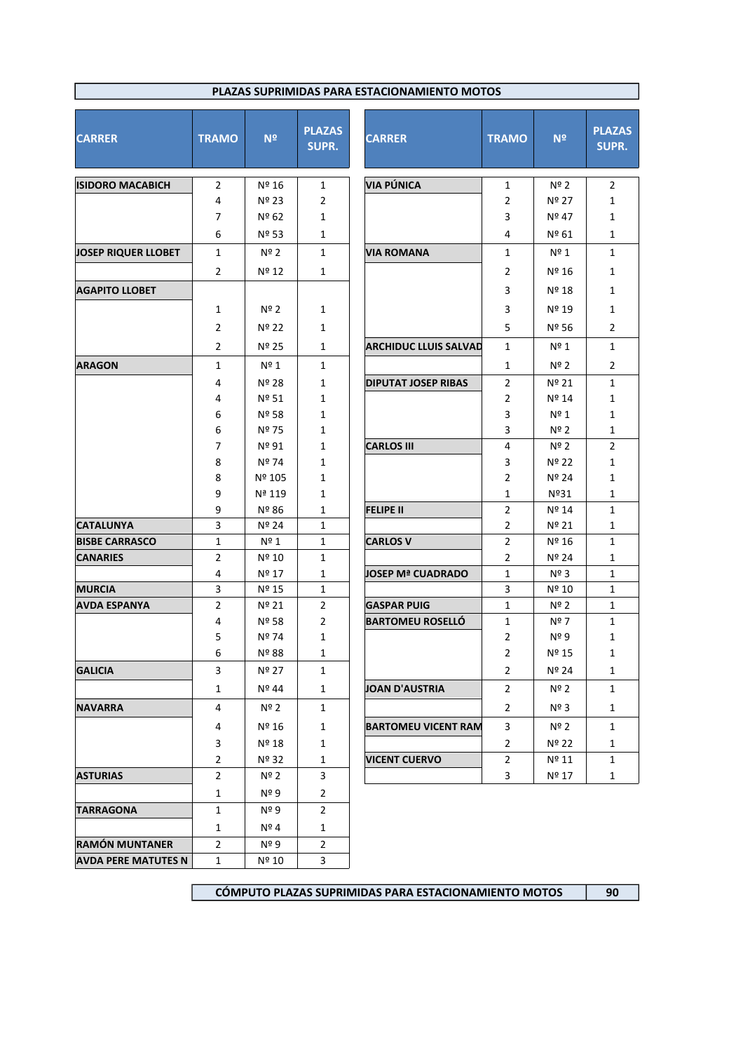| PLAZAS SUPRIMIDAS PARA ESTACIONAMIENTO MOTOS |                     |                |                               |                              |                     |                        |                               |  |  |  |  |  |
|----------------------------------------------|---------------------|----------------|-------------------------------|------------------------------|---------------------|------------------------|-------------------------------|--|--|--|--|--|
| <b>CARRER</b>                                | <b>TRAMO</b>        | N <sup>2</sup> | <b>PLAZAS</b><br><b>SUPR.</b> | <b>CARRER</b>                | <b>TRAMO</b>        | N <sup>2</sup>         | <b>PLAZAS</b><br><b>SUPR.</b> |  |  |  |  |  |
| <b>ISIDORO MACABICH</b>                      | $\overline{2}$      | Nº 16          | 1                             | <b>VIA PÚNICA</b>            | $\mathbf{1}$        | $N^{\circ}$ 2          | $\overline{2}$                |  |  |  |  |  |
|                                              | 4                   | Nº 23          | $\overline{2}$                |                              | $\overline{2}$      | Nº 27                  | 1                             |  |  |  |  |  |
|                                              | $\overline{7}$      | Nº 62          | $\mathbf{1}$                  |                              | 3                   | Nº 47                  | $\mathbf{1}$                  |  |  |  |  |  |
|                                              | 6                   | Nº 53          | 1                             |                              | 4                   | Nº 61                  | $\mathbf{1}$                  |  |  |  |  |  |
| JOSEP RIQUER LLOBET                          | $\mathbf{1}$        | Nº 2           | 1                             | <b>VIA ROMANA</b>            | $\mathbf{1}$        | Nº 1                   | 1                             |  |  |  |  |  |
|                                              | $\overline{2}$      | Nº 12          | $\mathbf{1}$                  |                              | 2                   | Nº 16                  | 1                             |  |  |  |  |  |
| <b>AGAPITO LLOBET</b>                        |                     |                |                               |                              | 3                   | Nº 18                  | 1                             |  |  |  |  |  |
|                                              | 1                   | $N^{\circ}$ 2  | 1                             |                              | 3                   | Nº 19                  | 1                             |  |  |  |  |  |
|                                              | $\overline{2}$      | Nº 22          | 1                             |                              | 5                   | Nº 56                  | $\overline{2}$                |  |  |  |  |  |
|                                              | $\overline{2}$      | Nº 25          | 1                             | <b>ARCHIDUC LLUIS SALVAD</b> | 1                   | Nº 1                   | 1                             |  |  |  |  |  |
| <b>ARAGON</b>                                | $\mathbf{1}$        | $N^{\circ}$ 1  | 1                             |                              | $\mathbf{1}$        | Nº 2                   | $\overline{2}$                |  |  |  |  |  |
|                                              | 4                   | Nº 28          | 1                             | <b>DIPUTAT JOSEP RIBAS</b>   | $\overline{2}$      | Nº 21                  | 1                             |  |  |  |  |  |
|                                              | 4                   | Nº 51          | 1                             |                              | 2                   | Nº 14                  | 1                             |  |  |  |  |  |
|                                              | 6                   | Nº 58          | $\mathbf{1}$                  |                              | 3                   | $N^{\circ}$ 1          | $\mathbf{1}$                  |  |  |  |  |  |
|                                              | 6                   | Nº 75          | $\mathbf{1}$                  |                              | 3                   | $N^{\circ}$ 2          | $\mathbf{1}$                  |  |  |  |  |  |
|                                              | $\overline{7}$      | Nº 91          | $\mathbf{1}$                  | <b>CARLOS III</b>            | 4                   | $N^{\circ}$ 2          | $\overline{2}$                |  |  |  |  |  |
|                                              | 8                   | Nº 74          | $\mathbf{1}$                  |                              | 3                   | Nº 22                  | $\mathbf{1}$                  |  |  |  |  |  |
|                                              | 8                   | Nº 105         | $\mathbf{1}$                  |                              | 2                   | Nº 24                  | $\mathbf{1}$                  |  |  |  |  |  |
|                                              | 9                   | Nª 119         | $\mathbf{1}$                  |                              | 1                   | Nº31                   | $\mathbf{1}$                  |  |  |  |  |  |
|                                              | 9                   | Nº 86          | 1                             | <b>FELIPE II</b>             | $\overline{2}$      | Nº 14                  | 1                             |  |  |  |  |  |
| <b>CATALUNYA</b>                             | 3                   | Nº 24          | $\mathbf{1}$                  |                              | $\overline{2}$      | Nº 21                  | $\mathbf{1}$                  |  |  |  |  |  |
| <b>BISBE CARRASCO</b>                        | 1                   | Nº 1           | 1                             | <b>CARLOS V</b>              | 2                   | Nº 16                  | 1                             |  |  |  |  |  |
| <b>CANARIES</b>                              | $\overline{2}$<br>4 | Nº 10<br>Nº 17 | $\mathbf{1}$<br>$\mathbf{1}$  | <b>JOSEP Mª CUADRADO</b>     | $\overline{2}$<br>1 | Nº 24<br>$N^{\circ}$ 3 | $\mathbf{1}$<br>$\mathbf{1}$  |  |  |  |  |  |
| <b>MURCIA</b>                                | 3                   | Nº 15          | $\mathbf{1}$                  |                              | 3                   | Nº 10                  | $\mathbf{1}$                  |  |  |  |  |  |
| AVDA ESPANYA                                 | 2                   | Nº 21          | $\overline{2}$                | <b>GASPAR PUIG</b>           | $\mathbf{1}$        | Nº 2                   | 1                             |  |  |  |  |  |
|                                              | 4                   | Nº 58          | $\overline{2}$                | <b>BARTOMEU ROSELLO</b>      | $\mathbf{1}$        | Nº 7                   | $\mathbf{1}$                  |  |  |  |  |  |
|                                              | 5                   | Nº 74          | $\mathbf{1}$                  |                              | $\overline{2}$      | $N^{\circ}$ 9          | $\mathbf{1}$                  |  |  |  |  |  |
|                                              | 6                   | Nº 88          | 1                             |                              | $\overline{2}$      | Nº 15                  | 1                             |  |  |  |  |  |
| <b>GALICIA</b>                               | 3                   | Nº 27          | $\mathbf{1}$                  |                              | $\overline{2}$      | Nº 24                  | $\mathbf{1}$                  |  |  |  |  |  |
|                                              | $\mathbf{1}$        | Nº 44          | $\mathbf{1}$                  | JOAN D'AUSTRIA               | $\overline{2}$      | Nº 2                   | $\mathbf{1}$                  |  |  |  |  |  |
| <b>NAVARRA</b>                               | 4                   | Nº 2           | $\mathbf{1}$                  |                              | $\overline{2}$      | $N^{\circ}$ 3          | $\mathbf{1}$                  |  |  |  |  |  |
|                                              | 4                   | Nº 16          | $\mathbf{1}$                  | <b>BARTOMEU VICENT RAM</b>   | 3                   | Nº 2                   | $\mathbf{1}$                  |  |  |  |  |  |
|                                              | 3                   | Nº 18          | $\mathbf{1}$                  |                              | $\overline{2}$      | Nº 22                  | $\mathbf{1}$                  |  |  |  |  |  |
|                                              | $\overline{2}$      | Nº 32          | $\mathbf{1}$                  | <b>VICENT CUERVO</b>         | $\overline{2}$      | Nº 11                  | $\mathbf{1}$                  |  |  |  |  |  |
| <b>ASTURIAS</b>                              | $\overline{2}$      | Nº 2           | 3                             |                              | 3                   | Nº 17                  | $\mathbf{1}$                  |  |  |  |  |  |
|                                              | $\mathbf{1}$        | Nº 9           | $\overline{2}$                |                              |                     |                        |                               |  |  |  |  |  |
| <b>TARRAGONA</b>                             | $\mathbf{1}$        | $N^{\circ}$ 9  | $\overline{2}$                |                              |                     |                        |                               |  |  |  |  |  |
|                                              | 1                   | Nº 4           | $\mathbf{1}$                  |                              |                     |                        |                               |  |  |  |  |  |
| <b>RAMÓN MUNTANER</b>                        | $\overline{2}$      | Nº 9           | $\mathbf{2}$                  |                              |                     |                        |                               |  |  |  |  |  |
| <b>AVDA PERE MATUTES N</b>                   | $\mathbf{1}$        | Nº 10          | 3                             |                              |                     |                        |                               |  |  |  |  |  |

**CÓMPUTO PLAZAS SUPRIMIDAS PARA ESTACIONAMIENTO MOTOS 90**

 $\overline{1}$